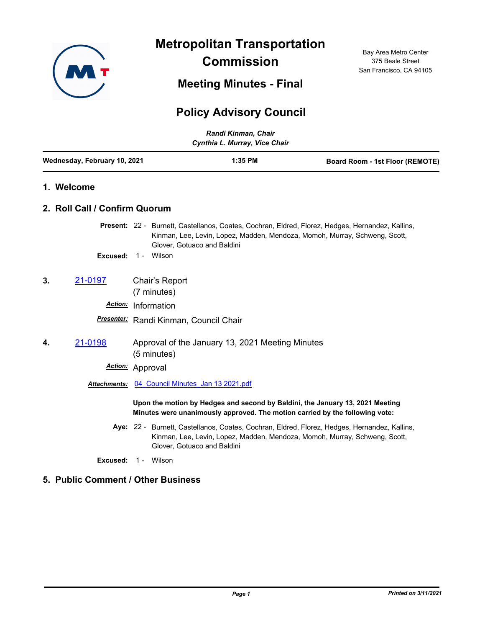

**Metropolitan Transportation Commission**

**Meeting Minutes - Final**

## 375 Beale Street San Francisco, CA 94105

Bay Area Metro Center

## **Policy Advisory Council**

*Randi Kinman, Chair*

|                              | Cynthia L. Murray, Vice Chair      |            |                                                                 |  |  |                                                                                                                                                                                |  |
|------------------------------|------------------------------------|------------|-----------------------------------------------------------------|--|--|--------------------------------------------------------------------------------------------------------------------------------------------------------------------------------|--|
| Wednesday, February 10, 2021 |                                    |            | 1:35 PM                                                         |  |  | <b>Board Room - 1st Floor (REMOTE)</b>                                                                                                                                         |  |
|                              | 1. Welcome                         |            |                                                                 |  |  |                                                                                                                                                                                |  |
|                              | 2. Roll Call / Confirm Quorum      |            |                                                                 |  |  |                                                                                                                                                                                |  |
|                              |                                    |            | Glover, Gotuaco and Baldini                                     |  |  | Present: 22 - Burnett, Castellanos, Coates, Cochran, Eldred, Florez, Hedges, Hernandez, Kallins,<br>Kinman, Lee, Levin, Lopez, Madden, Mendoza, Momoh, Murray, Schweng, Scott, |  |
|                              | Excused:                           |            | 1 - Wilson                                                      |  |  |                                                                                                                                                                                |  |
| 3.                           | 21-0197                            |            | Chair's Report<br>(7 minutes)                                   |  |  |                                                                                                                                                                                |  |
|                              | Action: Information                |            |                                                                 |  |  |                                                                                                                                                                                |  |
|                              |                                    |            | Presenter: Randi Kinman, Council Chair                          |  |  |                                                                                                                                                                                |  |
| 4.                           | 21-0198                            |            | Approval of the January 13, 2021 Meeting Minutes<br>(5 minutes) |  |  |                                                                                                                                                                                |  |
|                              | Action: Approval                   |            |                                                                 |  |  |                                                                                                                                                                                |  |
|                              | Attachments:                       |            | 04 Council Minutes Jan 13 2021.pdf                              |  |  |                                                                                                                                                                                |  |
|                              |                                    |            |                                                                 |  |  | Upon the motion by Hedges and second by Baldini, the January 13, 2021 Meeting<br>Minutes were unanimously approved. The motion carried by the following vote:                  |  |
|                              |                                    |            | Glover, Gotuaco and Baldini                                     |  |  | Aye: 22 - Burnett, Castellanos, Coates, Cochran, Eldred, Florez, Hedges, Hernandez, Kallins,<br>Kinman, Lee, Levin, Lopez, Madden, Mendoza, Momoh, Murray, Schweng, Scott,     |  |
|                              | Excused:                           | 1 - Wilson |                                                                 |  |  |                                                                                                                                                                                |  |
|                              | 5. Public Comment / Other Business |            |                                                                 |  |  |                                                                                                                                                                                |  |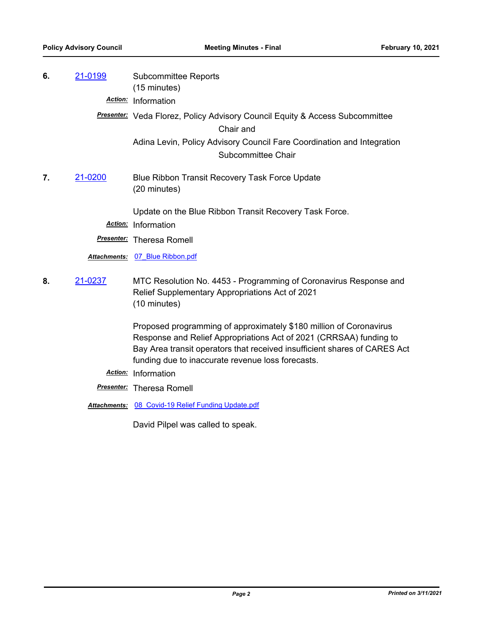| 6. | 21-0199 | <b>Subcommittee Reports</b><br>(15 minutes)                                                                                                                                                                                                                                |
|----|---------|----------------------------------------------------------------------------------------------------------------------------------------------------------------------------------------------------------------------------------------------------------------------------|
|    |         | Action: Information                                                                                                                                                                                                                                                        |
|    |         | <b>Presenter:</b> Veda Florez, Policy Advisory Council Equity & Access Subcommittee<br>Chair and                                                                                                                                                                           |
|    |         | Adina Levin, Policy Advisory Council Fare Coordination and Integration<br>Subcommittee Chair                                                                                                                                                                               |
| 7. | 21-0200 | Blue Ribbon Transit Recovery Task Force Update<br>(20 minutes)                                                                                                                                                                                                             |
|    |         | Update on the Blue Ribbon Transit Recovery Task Force.                                                                                                                                                                                                                     |
|    |         | Action: Information                                                                                                                                                                                                                                                        |
|    |         | <b>Presenter:</b> Theresa Romell                                                                                                                                                                                                                                           |
|    |         | Attachments: 07 Blue Ribbon.pdf                                                                                                                                                                                                                                            |
| 8. | 21-0237 | MTC Resolution No. 4453 - Programming of Coronavirus Response and<br>Relief Supplementary Appropriations Act of 2021<br>(10 minutes)                                                                                                                                       |
|    |         | Proposed programming of approximately \$180 million of Coronavirus<br>Response and Relief Appropriations Act of 2021 (CRRSAA) funding to<br>Bay Area transit operators that received insufficient shares of CARES Act<br>funding due to inaccurate revenue loss forecasts. |
|    |         | Action: Information                                                                                                                                                                                                                                                        |
|    |         | <b>Presenter:</b> Theresa Romell                                                                                                                                                                                                                                           |
|    |         | Attentmenter 00 Covid 10 Poliof Eunding Undete ndf                                                                                                                                                                                                                         |

*Attachments:* [08\\_Covid-19 Relief Funding Update.pdf](http://mtc.legistar.com/gateway.aspx?M=F&ID=620c3dd4-7b2a-4b53-b721-2f6ed9c14ea9.pdf)

David Pilpel was called to speak.